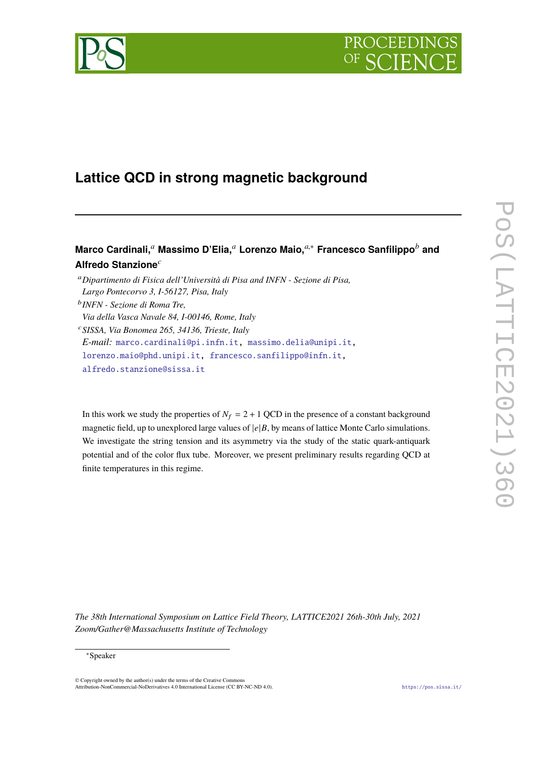



# **Lattice QCD in strong magnetic background**

# **Marco Cardinali,***<sup>a</sup>* **Massimo D'Elia,***<sup>a</sup>* **Lorenzo Maio,***a*,<sup>∗</sup> **Francesco Sanfilippo***<sup>b</sup>* **and Alfredo Stanzione***<sup>c</sup>*

*E-mail:* [marco.cardinali@pi.infn.it,](mailto:marco.cardinali@pi.infn.it) [massimo.delia@unipi.it,](mailto:massimo.delia@unipi.it)

[lorenzo.maio@phd.unipi.it,](mailto:lorenzo.maio@phd.unipi.it) [francesco.sanfilippo@infn.it,](mailto:francesco.sanfilippo@infn.it)

[alfredo.stanzione@sissa.it](mailto:alfredo.stanzione@sissa.it)

In this work we study the properties of  $N_f = 2 + 1$  QCD in the presence of a constant background magnetic field, up to unexplored large values of  $|e|B$ , by means of lattice Monte Carlo simulations. We investigate the string tension and its asymmetry via the study of the static quark-antiquark potential and of the color flux tube. Moreover, we present preliminary results regarding QCD at finite temperatures in this regime.

*The 38th International Symposium on Lattice Field Theory, LATTICE2021 26th-30th July, 2021 Zoom/Gather@Massachusetts Institute of Technology*

<sup>a</sup>*Dipartimento di Fisica dell'Università di Pisa and INFN - Sezione di Pisa, Largo Pontecorvo 3, I-56127, Pisa, Italy*

b *INFN - Sezione di Roma Tre,*

*Via della Vasca Navale 84, I-00146, Rome, Italy*

<sup>c</sup>*SISSA, Via Bonomea 265, 34136, Trieste, Italy*

<sup>∗</sup>Speaker

<sup>©</sup> Copyright owned by the author(s) under the terms of the Creative Common Attribution-NonCommercial-NoDerivatives 4.0 International License (CC BY-NC-ND 4.0). <https://pos.sissa.it/>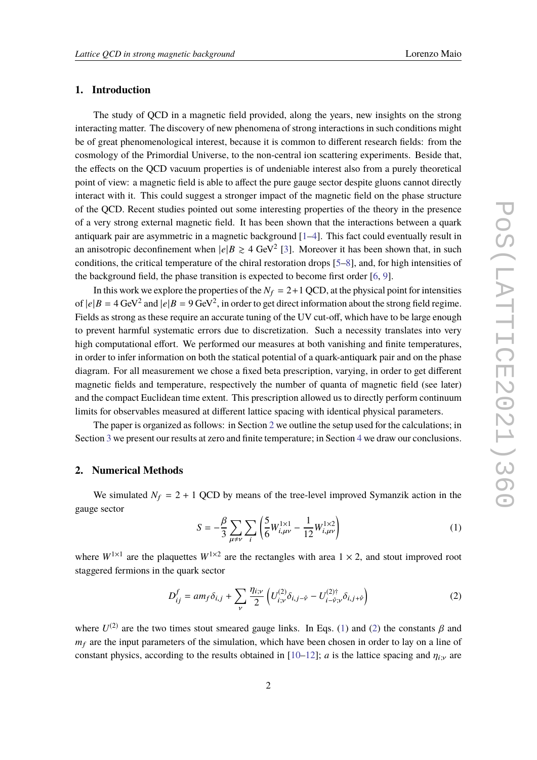## **1. Introduction**

The study of QCD in a magnetic field provided, along the years, new insights on the strong interacting matter. The discovery of new phenomena of strong interactions in such conditions might be of great phenomenological interest, because it is common to different research fields: from the cosmology of the Primordial Universe, to the non-central ion scattering experiments. Beside that, the effects on the QCD vacuum properties is of undeniable interest also from a purely theoretical point of view: a magnetic field is able to affect the pure gauge sector despite gluons cannot directly interact with it. This could suggest a stronger impact of the magnetic field on the phase structure of the QCD. Recent studies pointed out some interesting properties of the theory in the presence of a very strong external magnetic field. It has been shown that the interactions between a quark antiquark pair are asymmetric in a magnetic background [\[1–](#page-7-0)[4\]](#page-7-1). This fact could eventually result in an anisotropic deconfinement when  $|e|B \ge 4 \text{ GeV}^2$  [\[3\]](#page-7-2). Moreover it has been shown that, in such conditions, the critical temperature of the chiral restoration drops [\[5](#page-7-3)[–8\]](#page-7-4), and, for high intensities of the background field, the phase transition is expected to become first order [\[6,](#page-7-5) [9\]](#page-7-6).

In this work we explore the properties of the  $N_f = 2+1$  QCD, at the physical point for intensities of  $|e|B = 4$  GeV<sup>2</sup> and  $|e|B = 9$  GeV<sup>2</sup>, in order to get direct information about the strong field regime. Fields as strong as these require an accurate tuning of the UV cut-off, which have to be large enough to prevent harmful systematic errors due to discretization. Such a necessity translates into very high computational effort. We performed our measures at both vanishing and finite temperatures, in order to infer information on both the statical potential of a quark-antiquark pair and on the phase diagram. For all measurement we chose a fixed beta prescription, varying, in order to get different magnetic fields and temperature, respectively the number of quanta of magnetic field (see later) and the compact Euclidean time extent. This prescription allowed us to directly perform continuum limits for observables measured at different lattice spacing with identical physical parameters.

The paper is organized as follows: in Section [2](#page-1-0) we outline the setup used for the calculations; in Section [3](#page-3-0) we present our results at zero and finite temperature; in Section [4](#page-6-0) we draw our conclusions.

### <span id="page-1-0"></span>**2. Numerical Methods**

We simulated  $N_f = 2 + 1$  QCD by means of the tree-level improved Symanzik action in the gauge sector

<span id="page-1-1"></span>
$$
S = -\frac{\beta}{3} \sum_{\mu \neq \nu} \sum_{i} \left( \frac{5}{6} W_{i,\mu\nu}^{1 \times 1} - \frac{1}{12} W_{i,\mu\nu}^{1 \times 2} \right)
$$
 (1)

where  $W^{1\times1}$  are the plaquettes  $W^{1\times2}$  are the rectangles with area  $1\times2$ , and stout improved root staggered fermions in the quark sector

<span id="page-1-2"></span>
$$
D_{ij}^f = am_f \delta_{i,j} + \sum_{\nu} \frac{\eta_{i,\nu}}{2} \left( U_{i,\nu}^{(2)} \delta_{i,j-\hat{\nu}} - U_{i-\hat{\nu},\nu}^{(2)\dagger} \delta_{i,j+\hat{\nu}} \right) \tag{2}
$$

where  $U^{(2)}$  $U^{(2)}$  $U^{(2)}$  are the two times stout smeared gauge links. In Eqs. [\(1\)](#page-1-1) and (2) the constants  $\beta$  and  $w_1$  are the innut generators of the simulation which have heaven choose in ander to lay an aline of  $m_f$  are the input parameters of the simulation, which have been chosen in order to lay on a line of constant physics, according to the results obtained in  $[10-12]$  $[10-12]$ ; *a* is the lattice spacing and  $\eta_{i\nu}$  are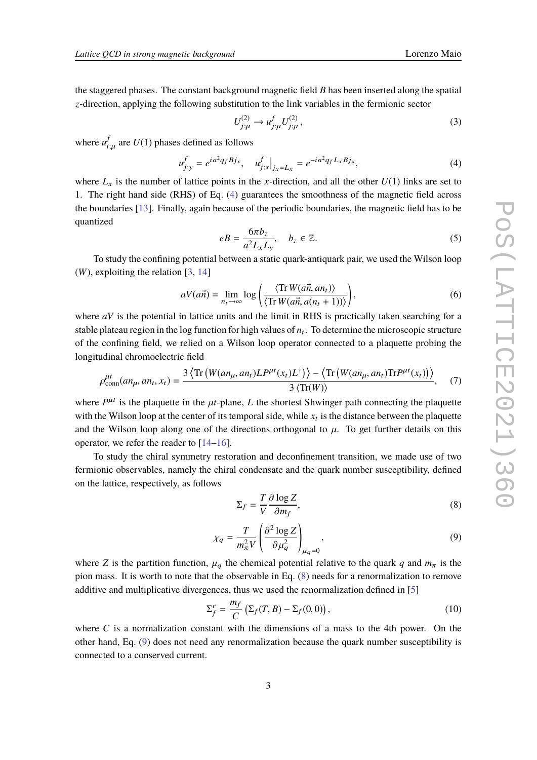the staggered phases. The constant background magnetic field *B* has been inserted along the spatial *z*-direction, applying the following substitution to the link variables in the fermionic sector

$$
U_{j;\mu}^{(2)} \to u_{j;\mu}^f U_{j;\mu}^{(2)}, \qquad (3)
$$

where  $u_i^f$  $\int_{i;\mu}^{J}$  are  $U(1)$  phases defined as follows

<span id="page-2-0"></span>
$$
u_{j;y}^f = e^{ia^2q_fBj_x}, \quad u_{j;x}^f|_{j_x=L_x} = e^{-ia^2q_fL_xBj_x}, \tag{4}
$$

where  $L_x$  is the number of lattice points in the *x*-direction, and all the other  $U(1)$  links are set to 1. The right hand side (RHS) of Eq. [\(4\)](#page-2-0) guarantees the smoothness of the magnetic field across the boundaries [\[13\]](#page-7-9). Finally, again because of the periodic boundaries, the magnetic field has to be quantized

$$
eB = \frac{6\pi b_z}{a^2 L_x L_y}, \quad b_z \in \mathbb{Z}.
$$
 (5)

To study the confining potential between a static quark-antiquark pair, we used the Wilson loop (*W*), exploiting the relation [\[3,](#page-7-2) [14\]](#page-7-10)

<span id="page-2-4"></span>
$$
aV(a\vec{n}) = \lim_{n_t \to \infty} \log \left( \frac{\langle \text{Tr} W(a\vec{n}, an_t) \rangle}{\langle \text{Tr} W(a\vec{n}, a(n_t + 1)) \rangle} \right),\tag{6}
$$

where *aV* is the potential in lattice units and the limit in RHS is practically taken searching for a stable plateau region in the log function for high values of  $n_t$ . To determine the microscopic structure of the confining field, we relied on a Wilson loop operator connected to a plaquette probing the longitudinal chromoelectric field

<span id="page-2-5"></span>
$$
\rho_{\text{conn}}^{ut}(an_{\mu},an_{t},x_{t}) = \frac{3\left\langle \text{Tr}\left(W(an_{\mu},an_{t})L^{put}(x_{t})L^{\dagger}\right)\right\rangle - \left\langle \text{Tr}\left(W(an_{\mu},an_{t})\text{Tr}P^{\mu t}(x_{t})\right)\right\rangle}{3\left\langle \text{Tr}(W)\right\rangle},\tag{7}
$$

where  $P^{\mu t}$  is the plaquette in the  $\mu t$ -plane, *L* the shortest Shwinger path connecting the plaquette with the Wilson loop at the center of its temporal side, while  $x_t$  is the distance between the plaquette and the Wilson loop along one of the directions orthogonal to  $\mu$ . To get further details on this operator, we refer the reader to [\[14–](#page-7-10)[16\]](#page-8-0).

To study the chiral symmetry restoration and deconfinement transition, we made use of two fermionic observables, namely the chiral condensate and the quark number susceptibility, defined on the lattice, respectively, as follows

<span id="page-2-1"></span>
$$
\Sigma_f = \frac{T}{V} \frac{\partial \log Z}{\partial m_f},\tag{8}
$$

<span id="page-2-2"></span>
$$
\chi_q = \frac{T}{m_\pi^2 V} \left( \frac{\partial^2 \log Z}{\partial \mu_q^2} \right)_{\mu_q = 0},\tag{9}
$$

where *Z* is the partition function,  $\mu_q$  the chemical potential relative to the quark *q* and  $m_\pi$  is the pixe measure of the summation of the summation of the summation of the summation of the summation of the summati pion mass. It is worth to note that the observable in Eq. [\(8\)](#page-2-1) needs for a renormalization to remove additive and multiplicative divergences, thus we used the renormalization defined in [\[5\]](#page-7-3)

<span id="page-2-3"></span>
$$
\Sigma_f^r = \frac{m_f}{C} \left( \Sigma_f(T, B) - \Sigma_f(0, 0) \right),\tag{10}
$$

where  $C$  is a normalization constant with the dimensions of a mass to the 4th power. On the other hand, Eq. [\(9\)](#page-2-2) does not need any renormalization because the quark number susceptibility is connected to a conserved current.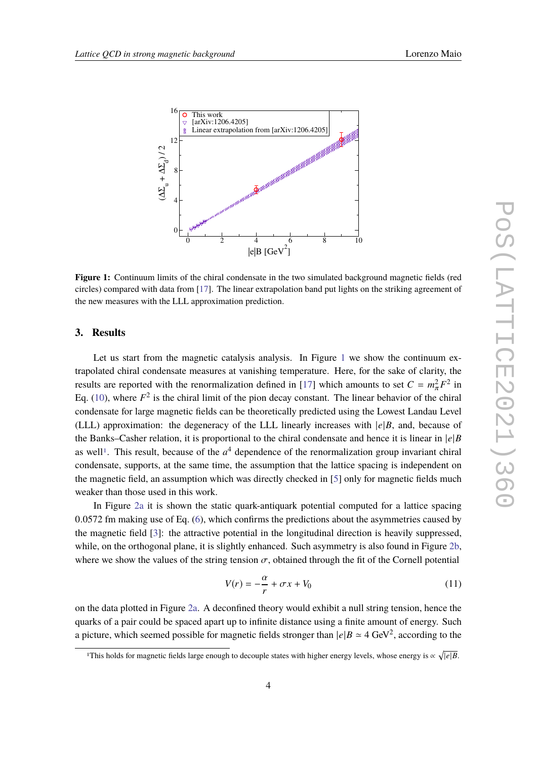<span id="page-3-1"></span>

**Figure 1:** Continuum limits of the chiral condensate in the two simulated background magnetic fields (red circles) compared with data from [\[17\]](#page-8-1). The linear extrapolation band put lights on the striking agreement of the new measures with the LLL approximation prediction.

#### <span id="page-3-0"></span>**3. Results**

Let us start from the magnetic catalysis analysis. In Figure [1](#page-3-1) we show the continuum extrapolated chiral condensate measures at vanishing temperature. Here, for the sake of clarity, the results are reported with the renormalization defined in [\[17\]](#page-8-1) which amounts to set  $C = m_{\pi}^2 F^2$  in<br>Fig. (10) where  $F^2$  is the shirel limit of the given decay constant. The linear helenion of the shirel Eq.  $(10)$ , where  $F<sup>2</sup>$  is the chiral limit of the pion decay constant. The linear behavior of the chiral condensate for large magnetic fields can be theoretically predicted using the Lowest Landau Level (LLL) approximation: the degeneracy of the LLL linearly increases with  $|e|B$ , and, because of the Banks–Casher relation, it is proportional to the chiral condensate and hence it is linear in |*e*|*B* as well<sup>[1](#page-3-2)</sup>. This result, because of the  $a<sup>4</sup>$  dependence of the renormalization group invariant chiral condensate, supports, at the same time, the assumption that the lattice spacing is independent on the magnetic field, an assumption which was directly checked in [\[5\]](#page-7-3) only for magnetic fields much weaker than those used in this work.

In Figure [2a](#page-4-0) it is shown the static quark-antiquark potential computed for a lattice spacing <sup>0</sup>.<sup>0572</sup> fm making use of Eq. [\(6\)](#page-2-4), which confirms the predictions about the asymmetries caused by the magnetic field [\[3\]](#page-7-2): the attractive potential in the longitudinal direction is heavily suppressed, while, on the orthogonal plane, it is slightly enhanced. Such asymmetry is also found in Figure [2b,](#page-4-0) where we show the values of the string tension  $\sigma$ , obtained through the fit of the Cornell potential

$$
V(r) = -\frac{\alpha}{r} + \sigma x + V_0 \tag{11}
$$

on the data plotted in Figure [2a.](#page-4-0) A deconfined theory would exhibit a null string tension, hence the quarks of a pair could be spaced apart up to infinite distance using a finite amount of energy. Such a picture, which seemed possible for magnetic fields stronger than  $|e|B \simeq 4 \text{ GeV}^2$ , according to the

<span id="page-3-2"></span><sup>&</sup>lt;sup>1</sup>This holds for magnetic fields large enough to decouple states with higher energy levels, whose energy is  $\propto \sqrt{|e|B}$ .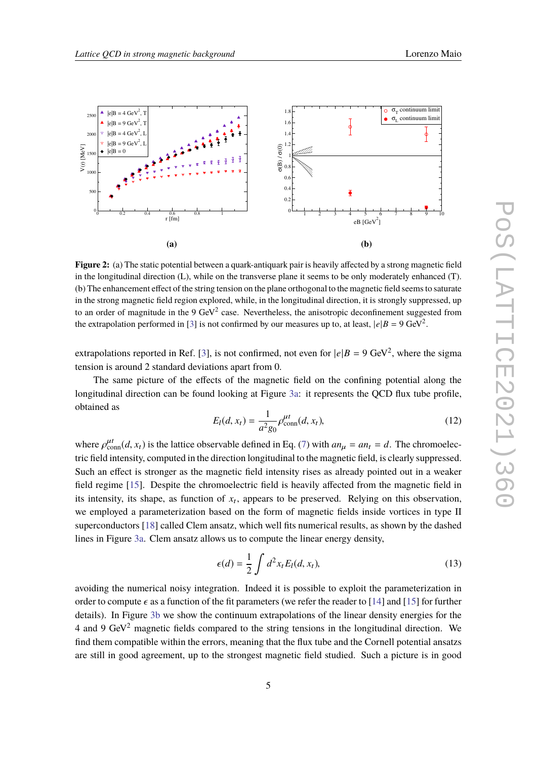<span id="page-4-0"></span>

**Figure 2:** (a) The static potential between a quark-antiquark pair is heavily affected by a strong magnetic field in the longitudinal direction (L), while on the transverse plane it seems to be only moderately enhanced (T). (b) The enhancement effect of the string tension on the plane orthogonal to the magnetic field seems to saturate in the strong magnetic field region explored, while, in the longitudinal direction, it is strongly suppressed, up to an order of magnitude in the 9  $\text{GeV}^2$  case. Nevertheless, the anisotropic deconfinement suggested from the extrapolation performed in [\[3\]](#page-7-2) is not confirmed by our measures up to, at least,  $|e|B = 9 \text{ GeV}^2$ .

extrapolations reported in Ref. [\[3\]](#page-7-2), is not confirmed, not even for  $|e|B = 9 \text{ GeV}^2$ , where the sigma tension is around 2 standard deviations apart from 0.

The same picture of the effects of the magnetic field on the confining potential along the longitudinal direction can be found looking at Figure [3a:](#page-5-0) it represents the QCD flux tube profile, obtained as

$$
E_l(d, x_t) = \frac{1}{a^2 g_0} \rho_{\text{conn}}^{\mu t}(d, x_t),
$$
\n(12)

where  $\rho_{\text{conn}}^{\mu t}(d, x_t)$  is the lattice observable defined in Eq. [\(7\)](#page-2-5) with  $a n_{\mu} = a n_t = d$ . The chromoelectric field intensity computed in the direction longitudinal to the meanwise field is also we unnecessed tric field intensity, computed in the direction longitudinal to the magnetic field, is clearly suppressed. Such an effect is stronger as the magnetic field intensity rises as already pointed out in a weaker field regime [\[15\]](#page-7-11). Despite the chromoelectric field is heavily affected from the magnetic field in its intensity, its shape, as function of  $x_t$ , appears to be preserved. Relying on this observation, we employed a parameterization based on the form of magnetic fields inside vortices in type II superconductors [\[18\]](#page-8-2) called Clem ansatz, which well fits numerical results, as shown by the dashed lines in Figure [3a.](#page-5-0) Clem ansatz allows us to compute the linear energy density,

$$
\epsilon(d) = \frac{1}{2} \int d^2 x_t E_l(d, x_t), \qquad (13)
$$

avoiding the numerical noisy integration. Indeed it is possible to exploit the parameterization in order to compute  $\epsilon$  as a function of the fit parameters (we refer the reader to [\[14\]](#page-7-10) and [\[15\]](#page-7-11) for further details). In Figure [3b](#page-5-0) we show the continuum extrapolations of the linear density energies for the 4 and 9 GeV<sup>2</sup> magnetic fields compared to the string tensions in the longitudinal direction. We find them compatible within the errors, meaning that the flux tube and the Cornell potential ansatzs are still in good agreement, up to the strongest magnetic field studied. Such a picture is in good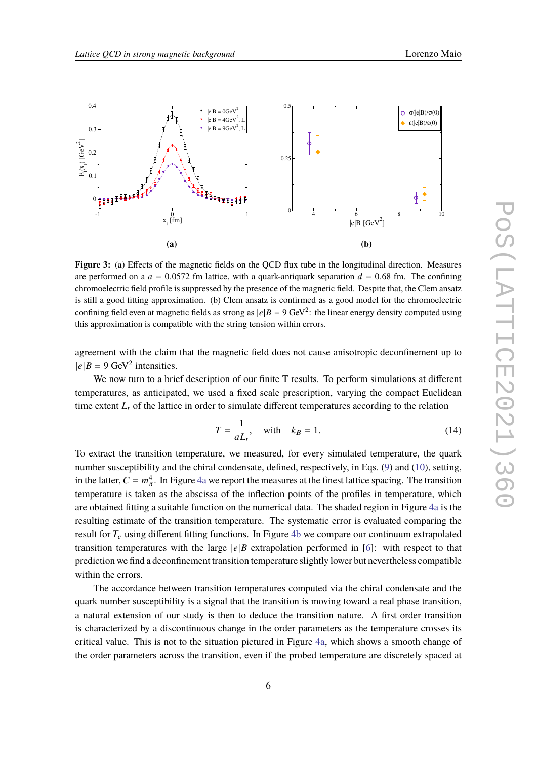<span id="page-5-0"></span>

**Figure 3:** (a) Effects of the magnetic fields on the QCD flux tube in the longitudinal direction. Measures are performed on a  $a = 0.0572$  fm lattice, with a quark-antiquark separation  $d = 0.68$  fm. The confining chromoelectric field profile is suppressed by the presence of the magnetic field. Despite that, the Clem ansatz is still a good fitting approximation. (b) Clem ansatz is confirmed as a good model for the chromoelectric confining field even at magnetic fields as strong as  $|e|B = 9 \text{ GeV}^2$ : the linear energy density computed using this approximation is compatible with the string tension within errors.

agreement with the claim that the magnetic field does not cause anisotropic deconfinement up to  $|e|B = 9$  GeV<sup>2</sup> intensities.

We now turn to a brief description of our finite T results. To perform simulations at different temperatures, as anticipated, we used a fixed scale prescription, varying the compact Euclidean time extent  $L_t$  of the lattice in order to simulate different temperatures according to the relation

$$
T = \frac{1}{aL_t}, \quad \text{with} \quad k = 1. \tag{14}
$$

To extract the transition temperature, we measured, for every simulated temperature, the quark number susceptibility and the chiral condensate, defined, respectively, in Eqs. [\(9\)](#page-2-2) and [\(10\)](#page-2-3), setting, in the latter,  $C = m_{\pi}^4$ . In Figure [4a](#page-6-1) we report the measures at the finest lattice spacing. The transition temperature is taken as the abscissa of the inflection points of the profiles in temperature, which are obtained fitting a suitable function on the numerical data. The shaded region in Figure [4a](#page-6-1) is the resulting estimate of the transition temperature. The systematic error is evaluated comparing the result for  $T_c$  using different fitting functions. In Figure [4b](#page-6-1) we compare our continuum extrapolated transition temperatures with the large  $|e|B$  extrapolation performed in [\[6\]](#page-7-5): with respect to that prediction we find a deconfinement transition temperature slightly lower but nevertheless compatible within the errors.

The accordance between transition temperatures computed via the chiral condensate and the quark number susceptibility is a signal that the transition is moving toward a real phase transition, a natural extension of our study is then to deduce the transition nature. A first order transition is characterized by a discontinuous change in the order parameters as the temperature crosses its critical value. This is not to the situation pictured in Figure [4a,](#page-6-1) which shows a smooth change of the order parameters across the transition, even if the probed temperature are discretely spaced at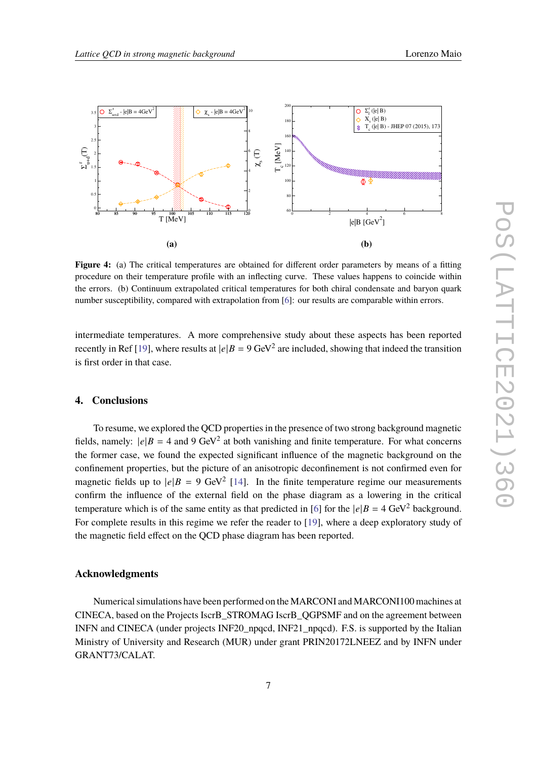<span id="page-6-1"></span>

**Figure 4:** (a) The critical temperatures are obtained for different order parameters by means of a fitting procedure on their temperature profile with an inflecting curve. These values happens to coincide within the errors. (b) Continuum extrapolated critical temperatures for both chiral condensate and baryon quark number susceptibility, compared with extrapolation from [\[6\]](#page-7-5): our results are comparable within errors.

intermediate temperatures. A more comprehensive study about these aspects has been reported recently in Ref [\[19\]](#page-8-3), where results at  $|e|B = 9 \text{ GeV}^2$  are included, showing that indeed the transition is first order in that case.

### <span id="page-6-0"></span>**4. Conclusions**

To resume, we explored the QCD properties in the presence of two strong background magnetic fields, namely:  $|e|B = 4$  and 9 GeV<sup>2</sup> at both vanishing and finite temperature. For what concerns the former case, we found the expected significant influence of the magnetic background on the confinement properties, but the picture of an anisotropic deconfinement is not confirmed even for magnetic fields up to  $|e|B = 9$  GeV<sup>2</sup> [\[14\]](#page-7-10). In the finite temperature regime our measurements confirm the influence of the external field on the phase diagram as a lowering in the critical temperature which is of the same entity as that predicted in [\[6\]](#page-7-5) for the  $|e|B = 4 \text{ GeV}^2$  background. For complete results in this regime we refer the reader to [\[19\]](#page-8-3), where a deep exploratory study of the magnetic field effect on the QCD phase diagram has been reported.

#### **Acknowledgments**

Numerical simulations have been performed on the MARCONI and MARCONI100 machines at CINECA, based on the Projects IscrB\_STROMAG IscrB\_QGPSMF and on the agreement between INFN and CINECA (under projects INF20\_npqcd, INF21\_npqcd). F.S. is supported by the Italian Ministry of University and Research (MUR) under grant PRIN20172LNEEZ and by INFN under GRANT73/CALAT.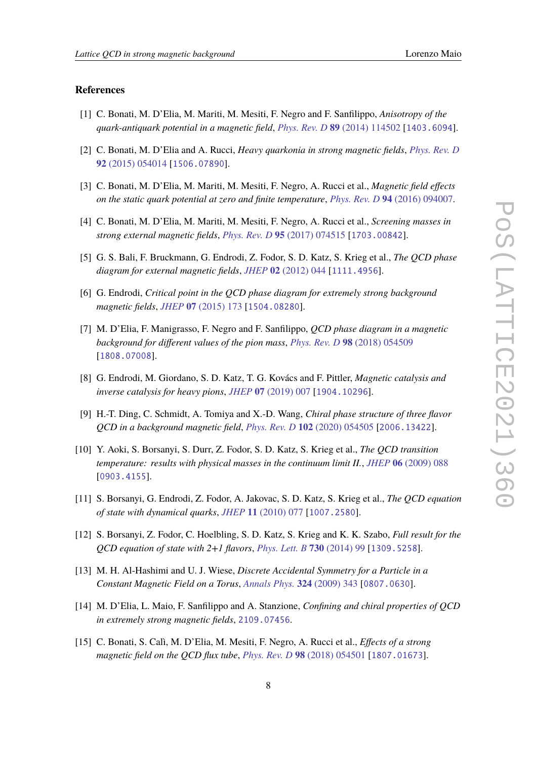#### **References**

- <span id="page-7-0"></span>[1] C. Bonati, M. D'Elia, M. Mariti, M. Mesiti, F. Negro and F. Sanfilippo, *Anisotropy of the quark-antiquark potential in a magnetic field*, *Phys. Rev. D* **89** [\(2014\) 114502](https://doi.org/10.1103/PhysRevD.89.114502) [[1403.6094](https://arxiv.org/abs/1403.6094)].
- [2] C. Bonati, M. D'Elia and A. Rucci, *Heavy quarkonia in strong magnetic fields*, *[Phys. Rev. D](https://doi.org/10.1103/PhysRevD.92.054014)* **92** [\(2015\) 054014](https://doi.org/10.1103/PhysRevD.92.054014) [[1506.07890](https://arxiv.org/abs/1506.07890)].
- <span id="page-7-2"></span>[3] C. Bonati, M. D'Elia, M. Mariti, M. Mesiti, F. Negro, A. Rucci et al., *Magnetic field effects on the static quark potential at zero and finite temperature*, *Phys. Rev. D* **94** [\(2016\) 094007.](https://doi.org/10.1103/PhysRevD.94.094007)
- <span id="page-7-1"></span>[4] C. Bonati, M. D'Elia, M. Mariti, M. Mesiti, F. Negro, A. Rucci et al., *Screening masses in strong external magnetic fields*, *Phys. Rev. D* **95** [\(2017\) 074515](https://doi.org/10.1103/PhysRevD.95.074515) [[1703.00842](https://arxiv.org/abs/1703.00842)].
- <span id="page-7-3"></span>[5] G. S. Bali, F. Bruckmann, G. Endrodi, Z. Fodor, S. D. Katz, S. Krieg et al., *The QCD phase diagram for external magnetic fields*, *JHEP* **02** [\(2012\) 044](https://doi.org/10.1007/JHEP02(2012)044) [[1111.4956](https://arxiv.org/abs/1111.4956)].
- <span id="page-7-5"></span>[6] G. Endrodi, *Critical point in the QCD phase diagram for extremely strong background magnetic fields*, *JHEP* **07** [\(2015\) 173](https://doi.org/10.1007/JHEP07(2015)173) [[1504.08280](https://arxiv.org/abs/1504.08280)].
- [7] M. D'Elia, F. Manigrasso, F. Negro and F. Sanfilippo, *QCD phase diagram in a magnetic background for different values of the pion mass*, *Phys. Rev. D* **98** [\(2018\) 054509](https://doi.org/10.1103/PhysRevD.98.054509) [[1808.07008](https://arxiv.org/abs/1808.07008)].
- <span id="page-7-4"></span>[8] G. Endrodi, M. Giordano, S. D. Katz, T. G. Kovács and F. Pittler, *Magnetic catalysis and inverse catalysis for heavy pions*, *JHEP* **07** [\(2019\) 007](https://doi.org/10.1007/JHEP07(2019)007) [[1904.10296](https://arxiv.org/abs/1904.10296)].
- <span id="page-7-6"></span>[9] H.-T. Ding, C. Schmidt, A. Tomiya and X.-D. Wang, *Chiral phase structure of three flavor QCD in a background magnetic field*, *Phys. Rev. D* **102** [\(2020\) 054505](https://doi.org/10.1103/PhysRevD.102.054505) [[2006.13422](https://arxiv.org/abs/2006.13422)].
- <span id="page-7-7"></span>[10] Y. Aoki, S. Borsanyi, S. Durr, Z. Fodor, S. D. Katz, S. Krieg et al., *The QCD transition temperature: results with physical masses in the continuum limit II.*, *JHEP* **06** [\(2009\) 088](https://doi.org/10.1088/1126-6708/2009/06/088) [[0903.4155](https://arxiv.org/abs/0903.4155)].
- [11] S. Borsanyi, G. Endrodi, Z. Fodor, A. Jakovac, S. D. Katz, S. Krieg et al., *The QCD equation of state with dynamical quarks*, *JHEP* **11** [\(2010\) 077](https://doi.org/10.1007/JHEP11(2010)077) [[1007.2580](https://arxiv.org/abs/1007.2580)].
- <span id="page-7-8"></span>[12] S. Borsanyi, Z. Fodor, C. Hoelbling, S. D. Katz, S. Krieg and K. K. Szabo, *Full result for the QCD equation of state with 2+1 flavors*, *[Phys. Lett. B](https://doi.org/10.1016/j.physletb.2014.01.007)* **730** (2014) 99 [[1309.5258](https://arxiv.org/abs/1309.5258)].
- <span id="page-7-9"></span>[13] M. H. Al-Hashimi and U. J. Wiese, *Discrete Accidental Symmetry for a Particle in a Constant Magnetic Field on a Torus*, *[Annals Phys.](https://doi.org/10.1016/j.aop.2008.07.006)* **324** (2009) 343 [[0807.0630](https://arxiv.org/abs/0807.0630)].
- <span id="page-7-10"></span>[14] M. D'Elia, L. Maio, F. Sanfilippo and A. Stanzione, *Confining and chiral properties of QCD in extremely strong magnetic fields*, [2109.07456](https://arxiv.org/abs/2109.07456).
- <span id="page-7-11"></span>[15] C. Bonati, S. Calì, M. D'Elia, M. Mesiti, F. Negro, A. Rucci et al., *Effects of a strong magnetic field on the QCD flux tube*, *Phys. Rev. D* **98** [\(2018\) 054501](https://doi.org/10.1103/PhysRevD.98.054501) [[1807.01673](https://arxiv.org/abs/1807.01673)].